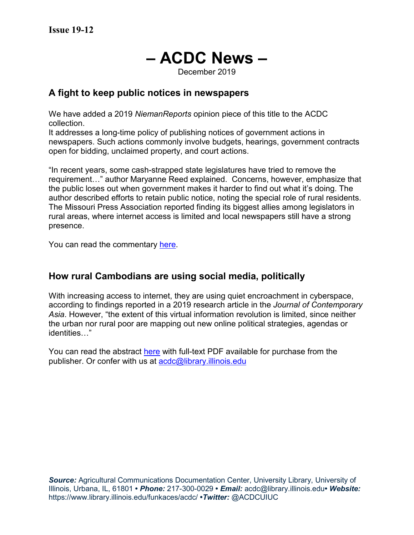# **– ACDC News –**

December 2019

#### **A fight to keep public notices in newspapers**

We have added a 2019 *NiemanReports* opinion piece of this title to the ACDC collection.

It addresses a long-time policy of publishing notices of government actions in newspapers. Such actions commonly involve budgets, hearings, government contracts open for bidding, unclaimed property, and court actions.

"In recent years, some cash-strapped state legislatures have tried to remove the requirement…" author Maryanne Reed explained. Concerns, however, emphasize that the public loses out when government makes it harder to find out what it's doing. The author described efforts to retain public notice, noting the special role of rural residents. The Missouri Press Association reported finding its biggest allies among legislators in rural areas, where internet access is limited and local newspapers still have a strong presence.

You can read the commentary [here.](https://niemanreports.org/articles/fighting-to-keep-public-notices-in-newspapers)

#### **How rural Cambodians are using social media, politically**

With increasing access to internet, they are using quiet encroachment in cyberspace, according to findings reported in a 2019 research article in the *Journal of Contemporary Asia*. However, "the extent of this virtual information revolution is limited, since neither the urban nor rural poor are mapping out new online political strategies, agendas or identities…"

You can read the abstract [here](https://www.tandfonline.com/doi/full/10.1080/00472336.2018.1520910) with full-text PDF available for purchase from the publisher. Or confer with us at [acdc@library.illinois.edu](mailto:acdc@library.illinois.edu)

**Source:** Agricultural Communications Documentation Center, University Library, University of Illinois, Urbana, IL, 61801 **•** *Phone:* 217-300-0029 **•** *Email:* acdc@library.illinois.edu**•** *Website:* https://www.library.illinois.edu/funkaces/acdc/ **•***Twitter:* @ACDCUIUC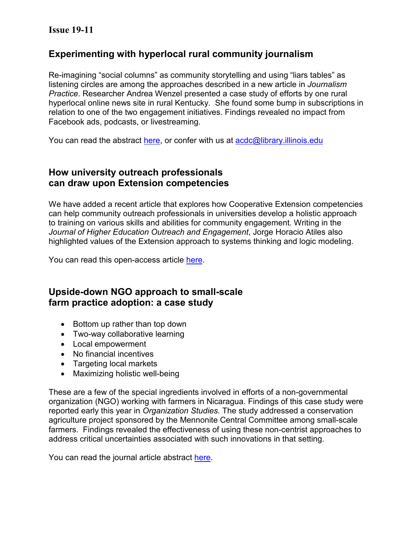#### **Issue 19-11**

#### **Experimenting with hyperlocal rural community journalism**

Re-imagining "social columns" as community storytelling and using "liars tables" as listening circles are among the approaches described in a new article in *Journalism Practice*. Researcher Andrea Wenzel presented a case study of efforts by one rural hyperlocal online news site in rural Kentucky. She found some bump in subscriptions in relation to one of the two engagement initiatives. Findings revealed no impact from Facebook ads, podcasts, or livestreaming.

You can read the abstract [here,](https://www.tandfonline.com/doi/full/10.1080/17512786.2018.1562360) or confer with us at [acdc@library.illinois.edu](mailto:acdc@library.illinois.edu)

## **How university outreach professionals can draw upon Extension competencies**

We have added a recent article that explores how Cooperative Extension competencies can help community outreach professionals in universities develop a holistic approach to training on various skills and abilities for community engagement. Writing in the *Journal of Higher Education Outreach and Engagement*, Jorge Horacio Atiles also highlighted values of the Extension approach to systems thinking and logic modeling.

You can read this open-access article [here.](https://openjournals.libs.uga.edu/jheoe/article/view/1431)

# **Upside-down NGO approach to small-scale farm practice adoption: a case study**

- Bottom up rather than top down
- Two-way collaborative learning
- Local empowerment
- No financial incentives
- Targeting local markets
- Maximizing holistic well-being

These are a few of the special ingredients involved in efforts of a non-governmental organization (NGO) working with farmers in Nicaragua. Findings of this case study were reported early this year in *Organization Studies.* The study addressed a conservation agriculture project sponsored by the Mennonite Central Committee among small-scale farmers. Findings revealed the effectiveness of using these non-centrist approaches to address critical uncertainties associated with such innovations in that setting.

You can read the journal article abstract [here.](https://journals-sagepub-com.proxy2.library.illinois.edu/doi/10.1177/0170840617747921)